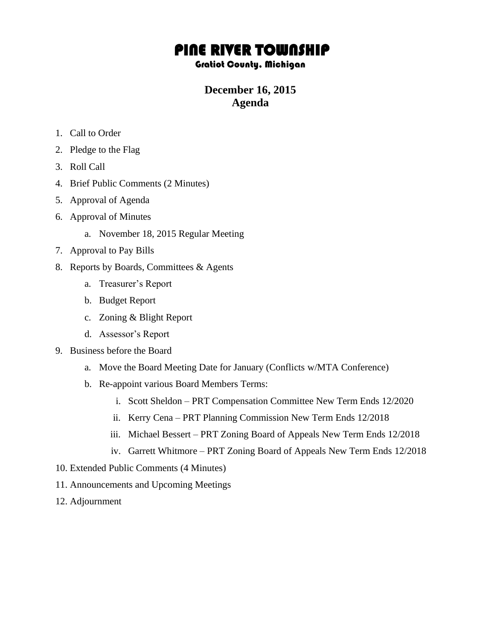## PINE RIVER TOWNSHIP

## Gratiot County, Michigan

## **December 16, 2015 Agenda**

- 1. Call to Order
- 2. Pledge to the Flag
- 3. Roll Call
- 4. Brief Public Comments (2 Minutes)
- 5. Approval of Agenda
- 6. Approval of Minutes
	- a. November 18, 2015 Regular Meeting
- 7. Approval to Pay Bills
- 8. Reports by Boards, Committees & Agents
	- a. Treasurer's Report
	- b. Budget Report
	- c. Zoning & Blight Report
	- d. Assessor's Report
- 9. Business before the Board
	- a. Move the Board Meeting Date for January (Conflicts w/MTA Conference)
	- b. Re-appoint various Board Members Terms:
		- i. Scott Sheldon PRT Compensation Committee New Term Ends 12/2020
		- ii. Kerry Cena PRT Planning Commission New Term Ends 12/2018
		- iii. Michael Bessert PRT Zoning Board of Appeals New Term Ends 12/2018
		- iv. Garrett Whitmore PRT Zoning Board of Appeals New Term Ends 12/2018
- 10. Extended Public Comments (4 Minutes)
- 11. Announcements and Upcoming Meetings
- 12. Adjournment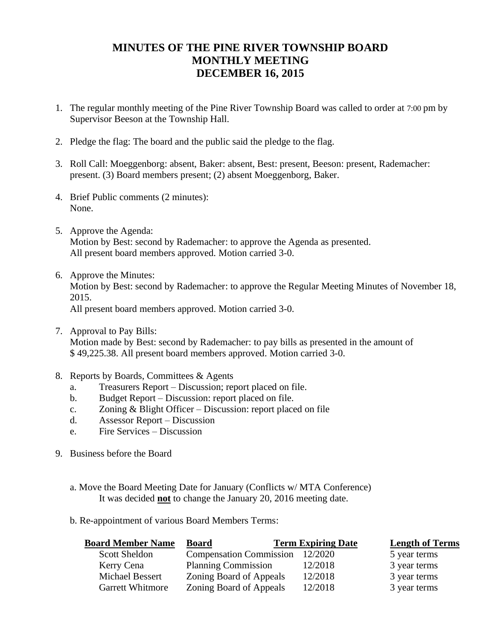## **MINUTES OF THE PINE RIVER TOWNSHIP BOARD MONTHLY MEETING DECEMBER 16, 2015**

- 1. The regular monthly meeting of the Pine River Township Board was called to order at 7:00 pm by Supervisor Beeson at the Township Hall.
- 2. Pledge the flag: The board and the public said the pledge to the flag.
- 3. Roll Call: Moeggenborg: absent, Baker: absent, Best: present, Beeson: present, Rademacher: present. (3) Board members present; (2) absent Moeggenborg, Baker.
- 4. Brief Public comments (2 minutes): None.
- 5. Approve the Agenda: Motion by Best: second by Rademacher: to approve the Agenda as presented. All present board members approved. Motion carried 3-0.
- 6. Approve the Minutes: Motion by Best: second by Rademacher: to approve the Regular Meeting Minutes of November 18, 2015. All present board members approved. Motion carried 3-0.
- 7. Approval to Pay Bills: Motion made by Best: second by Rademacher: to pay bills as presented in the amount of \$ 49,225.38. All present board members approved. Motion carried 3-0.
- 8. Reports by Boards, Committees & Agents
	- a. Treasurers Report Discussion; report placed on file.
	- b. Budget Report Discussion: report placed on file.
	- c. Zoning & Blight Officer Discussion: report placed on file
	- d. Assessor Report Discussion
	- e. Fire Services Discussion
- 9. Business before the Board
	- a. Move the Board Meeting Date for January (Conflicts w/ MTA Conference) It was decided **not** to change the January 20, 2016 meeting date.
	- b. Re-appointment of various Board Members Terms:

| <b>Board Member Name</b> | <b>Board</b>                   | <b>Term Expiring Date</b> | <b>Length of Terms</b> |
|--------------------------|--------------------------------|---------------------------|------------------------|
| <b>Scott Sheldon</b>     | <b>Compensation Commission</b> | 12/2020                   | 5 year terms           |
| Kerry Cena               | <b>Planning Commission</b>     | 12/2018                   | 3 year terms           |
| Michael Bessert          | Zoning Board of Appeals        | 12/2018                   | 3 year terms           |
| <b>Garrett Whitmore</b>  | Zoning Board of Appeals        | 12/2018                   | 3 year terms           |